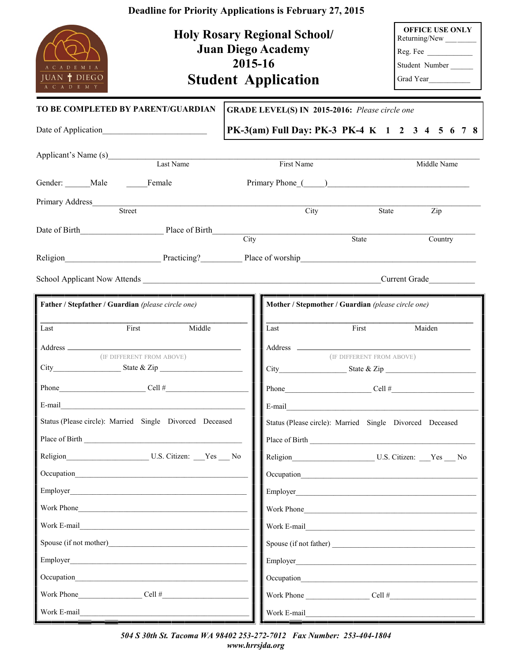| Deadline for Priority Applications is February 27, 2015                                                                                                                                                                              |                                                                                                                                                                                                                                |  |  |  |  |  |  |
|--------------------------------------------------------------------------------------------------------------------------------------------------------------------------------------------------------------------------------------|--------------------------------------------------------------------------------------------------------------------------------------------------------------------------------------------------------------------------------|--|--|--|--|--|--|
| A C A D E M I A<br>JUAN + DIEGO<br>A C A D E M Y                                                                                                                                                                                     | <b>OFFICE USE ONLY</b><br><b>Holy Rosary Regional School/</b><br>Returning/New ________<br><b>Juan Diego Academy</b><br>Reg. Fee<br>2015-16<br>Student Number<br><b>Student Application</b><br>Grad Year                       |  |  |  |  |  |  |
| TO BE COMPLETED BY PARENT/GUARDIAN                                                                                                                                                                                                   | <b>GRADE LEVEL(S) IN 2015-2016:</b> Please circle one                                                                                                                                                                          |  |  |  |  |  |  |
|                                                                                                                                                                                                                                      | PK-3(am) Full Day: PK-3 PK-4 K 1 2 3 4 5 6 7 8                                                                                                                                                                                 |  |  |  |  |  |  |
| Applicant's Name (s) Last Name                                                                                                                                                                                                       | First Name<br>Middle Name                                                                                                                                                                                                      |  |  |  |  |  |  |
|                                                                                                                                                                                                                                      | Primary Phone () and () and () and () and () and () and () are () and () and () are () and () and () are () and () and () are () and () are () and () are () and () are () are () and () are () are () and () are () are () an |  |  |  |  |  |  |
|                                                                                                                                                                                                                                      | City<br>State<br>Zip                                                                                                                                                                                                           |  |  |  |  |  |  |
| Date of Birth Place of Birth City                                                                                                                                                                                                    | <b>State</b><br>Country                                                                                                                                                                                                        |  |  |  |  |  |  |
|                                                                                                                                                                                                                                      |                                                                                                                                                                                                                                |  |  |  |  |  |  |
| School Applicant Now Attends <b>Exercífical Contract Contract Contract Contract Contract Contract Contract Contract Contract Contract Contract Contract Contract Contract Contract Contract Contract Contract Contract Contract </b> |                                                                                                                                                                                                                                |  |  |  |  |  |  |
| Father / Stepfather / Guardian (please circle one)                                                                                                                                                                                   | Mother / Stepmother / Guardian (please circle one)                                                                                                                                                                             |  |  |  |  |  |  |
| First First<br>Middle<br>Last                                                                                                                                                                                                        | First<br>Last<br>Maiden                                                                                                                                                                                                        |  |  |  |  |  |  |
| (IF DIFFERENT FROM ABOVE)                                                                                                                                                                                                            | (IF DIFFERENT FROM ABOVE)                                                                                                                                                                                                      |  |  |  |  |  |  |
|                                                                                                                                                                                                                                      |                                                                                                                                                                                                                                |  |  |  |  |  |  |
| Phone<br>$Cell \#$                                                                                                                                                                                                                   | Phone Cell $#$ Cell $#$                                                                                                                                                                                                        |  |  |  |  |  |  |
| E-mail                                                                                                                                                                                                                               | E-mail                                                                                                                                                                                                                         |  |  |  |  |  |  |
| Status (Please circle): Married Single Divorced Deceased                                                                                                                                                                             | Status (Please circle): Married Single Divorced Deceased                                                                                                                                                                       |  |  |  |  |  |  |
|                                                                                                                                                                                                                                      |                                                                                                                                                                                                                                |  |  |  |  |  |  |
| $U.S.$ Citizen: $Yes$ No<br>Religion                                                                                                                                                                                                 | Religion U.S. Citizen: Yes No                                                                                                                                                                                                  |  |  |  |  |  |  |
| Occupation                                                                                                                                                                                                                           | Occupation contract contract of the contract of the contract of the contract of the contract of the contract of the contract of the contract of the contract of the contract of the contract of the contract of the contract o |  |  |  |  |  |  |
| Employer                                                                                                                                                                                                                             | Employer                                                                                                                                                                                                                       |  |  |  |  |  |  |
| Work Phone                                                                                                                                                                                                                           |                                                                                                                                                                                                                                |  |  |  |  |  |  |
| Spouse (if not mother)<br><u>Spouse</u> (if not mother)                                                                                                                                                                              | Work E-mail                                                                                                                                                                                                                    |  |  |  |  |  |  |
| Employer<br><u> 1980 - Johann Stein, fransk politik (</u>                                                                                                                                                                            |                                                                                                                                                                                                                                |  |  |  |  |  |  |
|                                                                                                                                                                                                                                      |                                                                                                                                                                                                                                |  |  |  |  |  |  |
| Work Phone Cell #                                                                                                                                                                                                                    | Work Phone Cell #                                                                                                                                                                                                              |  |  |  |  |  |  |
| Work E-mail<br><u>and the control of the control of the control of the control of the control of the control of the control of</u>                                                                                                   | Work E-mail                                                                                                                                                                                                                    |  |  |  |  |  |  |

*504 S 30th St. Tacoma WA 98402 253-272-7012 Fax Number: 253-404-1804 www.hrrsjda.org*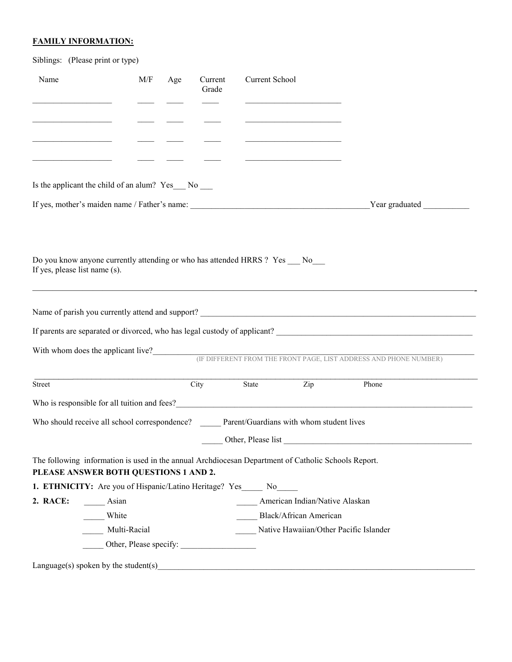### **FAMILY INFORMATION:**

| Siblings: (Please print or type)                                                                                                                                                                                                                                                                                                 |              |     |                  |                                                                                                                                        |                           |                                                                                                                                                                           |
|----------------------------------------------------------------------------------------------------------------------------------------------------------------------------------------------------------------------------------------------------------------------------------------------------------------------------------|--------------|-----|------------------|----------------------------------------------------------------------------------------------------------------------------------------|---------------------------|---------------------------------------------------------------------------------------------------------------------------------------------------------------------------|
| Name<br><u> 1989 - Johann John Stone, market francuski filozof (</u>                                                                                                                                                                                                                                                             | M/F          | Age | Current<br>Grade | Current School<br><u> 1980 - Johann John Stone, market fan it ferstjer fan it ferstjer fan it ferstjer fan it ferstjer fan it fers</u> |                           |                                                                                                                                                                           |
|                                                                                                                                                                                                                                                                                                                                  |              |     |                  | the control of the control of the control of the control of the control of                                                             |                           |                                                                                                                                                                           |
|                                                                                                                                                                                                                                                                                                                                  |              |     |                  | the control of the control of the control of the control of the control of the control of                                              |                           |                                                                                                                                                                           |
| Is the applicant the child of an alum? Yes No ____                                                                                                                                                                                                                                                                               |              |     |                  | <u> 1989 - Johann John Stone, market francuski filozof (</u>                                                                           |                           |                                                                                                                                                                           |
|                                                                                                                                                                                                                                                                                                                                  |              |     |                  |                                                                                                                                        |                           |                                                                                                                                                                           |
|                                                                                                                                                                                                                                                                                                                                  |              |     |                  |                                                                                                                                        |                           |                                                                                                                                                                           |
| Do you know anyone currently attending or who has attended HRRS ? Yes No<br>If yes, please list name (s).                                                                                                                                                                                                                        |              |     |                  |                                                                                                                                        |                           | ,我们也不能在这里的时候,我们也不能在这里的时候,我们也不能不能不能不能不能不能不能不能不能不能不能不能。""我们的人们也不能不能不能不能不能不能不能不能不能不                                                                                          |
|                                                                                                                                                                                                                                                                                                                                  |              |     |                  |                                                                                                                                        |                           |                                                                                                                                                                           |
|                                                                                                                                                                                                                                                                                                                                  |              |     |                  |                                                                                                                                        |                           |                                                                                                                                                                           |
|                                                                                                                                                                                                                                                                                                                                  |              |     |                  |                                                                                                                                        |                           | If parents are separated or divorced, who has legal custody of applicant?<br>The matter of the contract of the separated or divorced, who has legal custody of applicant? |
|                                                                                                                                                                                                                                                                                                                                  |              |     |                  |                                                                                                                                        |                           |                                                                                                                                                                           |
|                                                                                                                                                                                                                                                                                                                                  |              |     |                  |                                                                                                                                        |                           | (IF DIFFERENT FROM THE FRONT PAGE, LIST ADDRESS AND PHONE NUMBER)                                                                                                         |
|                                                                                                                                                                                                                                                                                                                                  |              |     | City             | State                                                                                                                                  | $\overline{\mathrm{Zip}}$ | Phone                                                                                                                                                                     |
|                                                                                                                                                                                                                                                                                                                                  |              |     |                  |                                                                                                                                        |                           |                                                                                                                                                                           |
|                                                                                                                                                                                                                                                                                                                                  |              |     |                  |                                                                                                                                        |                           |                                                                                                                                                                           |
|                                                                                                                                                                                                                                                                                                                                  |              |     |                  |                                                                                                                                        |                           |                                                                                                                                                                           |
|                                                                                                                                                                                                                                                                                                                                  |              |     |                  |                                                                                                                                        |                           |                                                                                                                                                                           |
|                                                                                                                                                                                                                                                                                                                                  |              |     |                  |                                                                                                                                        |                           |                                                                                                                                                                           |
| Asian                                                                                                                                                                                                                                                                                                                            |              |     |                  | American Indian/Native Alaskan                                                                                                         |                           |                                                                                                                                                                           |
| White                                                                                                                                                                                                                                                                                                                            |              |     |                  | Black/African American                                                                                                                 |                           |                                                                                                                                                                           |
| Street<br>Who should receive all school correspondence? Parent/Guardians with whom student lives<br>The following information is used in the annual Archdiocesan Department of Catholic Schools Report.<br>PLEASE ANSWER BOTH QUESTIONS 1 AND 2.<br><b>1. ETHNICITY:</b> Are you of Hispanic/Latino Heritage? Yes No<br>2. RACE: | Multi-Racial |     |                  | Native Hawaiian/Other Pacific Islander                                                                                                 |                           |                                                                                                                                                                           |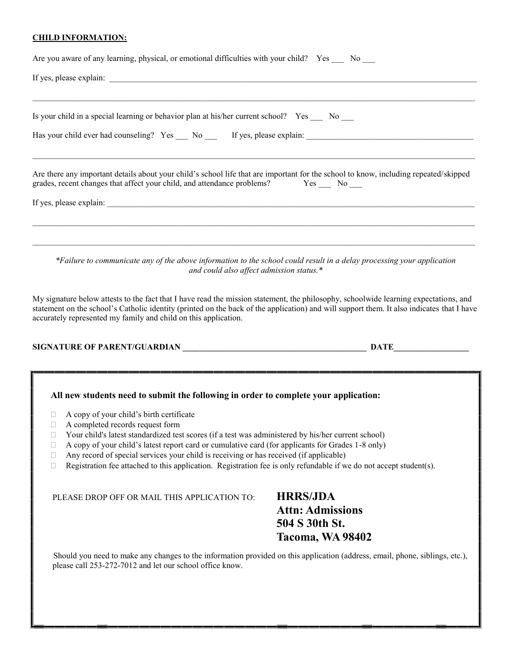#### **CHILD INFORMATION:**

| Are you aware of any learning, physical, or emotional difficulties with your child? Yes __ No __                                                                                                                             |
|------------------------------------------------------------------------------------------------------------------------------------------------------------------------------------------------------------------------------|
|                                                                                                                                                                                                                              |
| Is your child in a special learning or behavior plan at his/her current school? Yes ___ No                                                                                                                                   |
|                                                                                                                                                                                                                              |
| Are there any important details about your child's school life that are important for the school to know, including repeated/skipped<br>grades, recent changes that affect your child, and attendance problems? Yes __ No __ |
|                                                                                                                                                                                                                              |
| *Failure to communicate any of the above information to the school could result in a delay processing your application<br>and could also affect admission status.*                                                           |
| My giovature heleny ettects to the feet that I have read the mission statement, the philosophy, schoolwide learning expectations, and                                                                                        |

My signature below attests to the fact that I have read the mission statement, the philosophy, schoolwide learning expectations, and statement on the school's Catholic identity (printed on the back of the application) and will support them. It also indicates that I have accurately represented my family and child on this application.

#### **SIGNATURE OF PARENT/GUARDIAN \_\_\_\_\_\_\_\_\_\_\_\_\_\_\_\_\_\_\_\_\_\_\_\_\_\_\_\_\_\_\_\_\_\_\_\_\_\_\_\_\_\_\_\_ DATE\_\_\_\_\_\_\_\_\_\_\_\_\_\_\_\_\_\_**

| All new students need to submit the following in order to complete your application:                                                                                                     |                                                              |  |  |  |  |  |
|------------------------------------------------------------------------------------------------------------------------------------------------------------------------------------------|--------------------------------------------------------------|--|--|--|--|--|
| A copy of your child's birth certificate<br>$\Box$                                                                                                                                       |                                                              |  |  |  |  |  |
| A completed records request form<br>$\Box$                                                                                                                                               |                                                              |  |  |  |  |  |
| Your child's latest standardized test scores (if a test was administered by his/her current school)<br>n.                                                                                |                                                              |  |  |  |  |  |
| A copy of your child's latest report card or cumulative card (for applicants for Grades 1-8 only)<br>□                                                                                   |                                                              |  |  |  |  |  |
| Any record of special services your child is receiving or has received (if applicable)<br>П                                                                                              |                                                              |  |  |  |  |  |
| Registration fee attached to this application. Registration fee is only refundable if we do not accept student(s).<br>П                                                                  |                                                              |  |  |  |  |  |
| PLEASE DROP OFF OR MAIL THIS APPLICATION TO:                                                                                                                                             | <b>HRRS/JDA</b><br><b>Attn: Admissions</b><br>504 S 30th St. |  |  |  |  |  |
|                                                                                                                                                                                          | Tacoma, WA 98402                                             |  |  |  |  |  |
| Should you need to make any changes to the information provided on this application (address, email, phone, siblings, etc.),<br>please call 253-272-7012 and let our school office know. |                                                              |  |  |  |  |  |
|                                                                                                                                                                                          |                                                              |  |  |  |  |  |
|                                                                                                                                                                                          |                                                              |  |  |  |  |  |